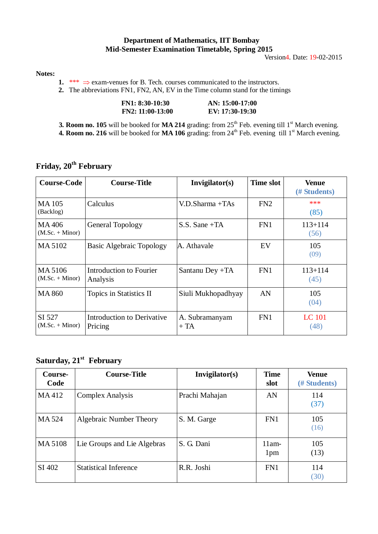#### **Department of Mathematics, IIT Bombay Mid-Semester Examination Timetable, Spring 2015**

Version4. Date: 19-02-2015

#### **Notes:**

**1.** \*\*\*  $\Rightarrow$  exam-venues for B. Tech. courses communicated to the instructors.

**2.** The abbreviations FN1, FN2, AN, EV in the Time column stand for the timings

| FN1: 8:30-10:30    | $AN: 15:00-17:00$ |
|--------------------|-------------------|
| $FN2: 11:00-13:00$ | EV: 17:30-19:30   |

**3. Room no. 105** will be booked for **MA 214** grading: from 25<sup>th</sup> Feb. evening till 1<sup>st</sup> March evening.

**4. Room no. 216** will be booked for **MA 106** grading: from 24<sup>th</sup> Feb. evening till 1<sup>st</sup> March evening.

| <b>Course-Code</b>           | <b>Course-Title</b>                          | Invigilator(s)          | <b>Time slot</b> | <b>Venue</b><br>(# Students) |
|------------------------------|----------------------------------------------|-------------------------|------------------|------------------------------|
| <b>MA105</b><br>(Backlog)    | Calculus                                     | $V.D.Sharma +TAs$       | FN2              | ***<br>(85)                  |
| MA406<br>$(M.Sc. + Minor)$   | General Topology                             | $S.S.$ Sane +TA         | FN1              | $113 + 114$<br>(56)          |
| MA 5102                      | <b>Basic Algebraic Topology</b>              | A. Athavale             | EV               | 105<br>(09)                  |
| MA 5106<br>$(M.Sc. + Minor)$ | Introduction to Fourier<br>Analysis          | Santanu Dey +TA         | FN1              | $113 + 114$<br>(45)          |
| <b>MA 860</b>                | Topics in Statistics II                      | Siuli Mukhopadhyay      | AN               | 105<br>(04)                  |
| SI 527<br>$(M.Sc. + Minor)$  | <b>Introduction to Derivative</b><br>Pricing | A. Subramanyam<br>$+TA$ | FN1              | <b>LC</b> 101<br>(48)        |

## **Friday, 20th February**

## **Saturday, 21st February**

| Course-<br>Code | <b>Course-Title</b>          | Invigilator(s) | <b>Time</b><br>slot        | <b>Venue</b><br>(# Students) |
|-----------------|------------------------------|----------------|----------------------------|------------------------------|
| MA412           | Complex Analysis             | Prachi Mahajan | AN                         | 114<br>(37)                  |
| MA 524          | Algebraic Number Theory      | S. M. Garge    | FN1                        | 105<br>(16)                  |
| MA 5108         | Lie Groups and Lie Algebras  | S. G. Dani     | $11am-$<br>1 <sub>pm</sub> | 105<br>(13)                  |
| SI 402          | <b>Statistical Inference</b> | R.R. Joshi     | FN1                        | 114<br>(30)                  |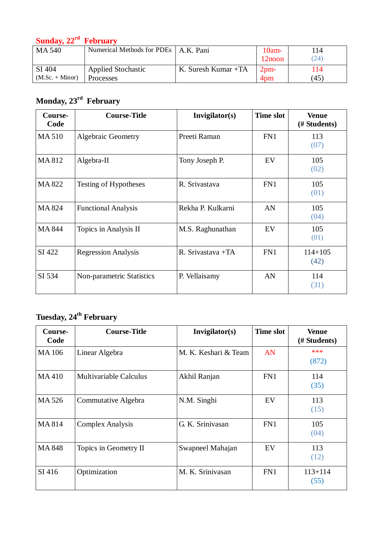#### **Sunday, 22rd February**

| MA 540            | Numerical Methods for PDEs   A.K. Pani |                     | $10am-$<br>$12$ noon | 114<br>(24) |
|-------------------|----------------------------------------|---------------------|----------------------|-------------|
| SI 404            | <b>Applied Stochastic</b>              | K. Suresh Kumar +TA | $2pm-$               | 14          |
| $(M.Sc. + Minor)$ | Processes                              |                     | 4pm                  | (45)        |

# **Monday, 23rd February**

| Course-<br>Code | <b>Course-Title</b>        | Invigilator(s)    | <b>Time slot</b> | <b>Venue</b><br>(# Students) |
|-----------------|----------------------------|-------------------|------------------|------------------------------|
| <b>MA510</b>    | <b>Algebraic Geometry</b>  | Preeti Raman      | FN1              | 113<br>(07)                  |
| MA812           | Algebra-II                 | Tony Joseph P.    | EV               | 105<br>(02)                  |
| MA 822          | Testing of Hypotheses      | R. Srivastava     | FN1              | 105<br>(01)                  |
| <b>MA824</b>    | <b>Functional Analysis</b> | Rekha P. Kulkarni | AN               | 105<br>(04)                  |
| MA 844          | Topics in Analysis II      | M.S. Raghunathan  | EV               | 105<br>(01)                  |
| SI 422          | <b>Regression Analysis</b> | R. Srivastava +TA | FN1              | $114 + 105$<br>(42)          |
| SI 534          | Non-parametric Statistics  | P. Vellaisamy     | AN               | 114<br>(31)                  |

### **Tuesday, 24 th February**

| Course-<br>Code | <b>Course-Title</b>           | Invigilator(s)       | <b>Time slot</b> | <b>Venue</b><br>(# Students) |
|-----------------|-------------------------------|----------------------|------------------|------------------------------|
| MA 106          | Linear Algebra                | M. K. Keshari & Team | AN               | ***<br>(872)                 |
| MA410           | <b>Multivariable Calculus</b> | Akhil Ranjan         | FN1              | 114<br>(35)                  |
| MA 526          | Commutative Algebra           | N.M. Singhi          | EV               | 113<br>(15)                  |
| MA814           | <b>Complex Analysis</b>       | G. K. Srinivasan     | FN1              | 105<br>(04)                  |
| MA 848          | Topics in Geometry II         | Swapneel Mahajan     | EV               | 113<br>(12)                  |
| SI 416          | Optimization                  | M. K. Srinivasan     | FN1              | $113 + 114$<br>(55)          |